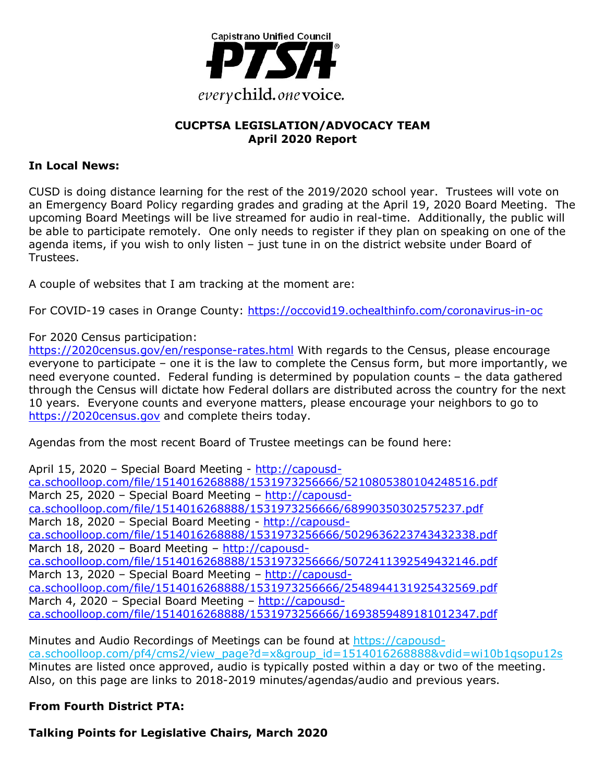

## **CUCPTSA LEGISLATION/ADVOCACY TEAM April 2020 Report**

### **In Local News:**

CUSD is doing distance learning for the rest of the 2019/2020 school year. Trustees will vote on an Emergency Board Policy regarding grades and grading at the April 19, 2020 Board Meeting. The upcoming Board Meetings will be live streamed for audio in real-time. Additionally, the public will be able to participate remotely. One only needs to register if they plan on speaking on one of the agenda items, if you wish to only listen – just tune in on the district website under Board of Trustees.

A couple of websites that I am tracking at the moment are:

For COVID-19 cases in Orange County: https://occovid19.ochealthinfo.com/coronavirus-in-oc

For 2020 Census participation:

https://2020census.gov/en/response-rates.html With regards to the Census, please encourage everyone to participate – one it is the law to complete the Census form, but more importantly, we need everyone counted. Federal funding is determined by population counts – the data gathered through the Census will dictate how Federal dollars are distributed across the country for the next 10 years. Everyone counts and everyone matters, please encourage your neighbors to go to https://2020census.gov and complete theirs today.

Agendas from the most recent Board of Trustee meetings can be found here:

April 15, 2020 – Special Board Meeting - http://capousdca.schoolloop.com/file/1514016268888/1531973256666/5210805380104248516.pdf March 25, 2020 – Special Board Meeting – http://capousdca.schoolloop.com/file/1514016268888/1531973256666/68990350302575237.pdf March 18, 2020 – Special Board Meeting - http://capousdca.schoolloop.com/file/1514016268888/1531973256666/5029636223743432338.pdf March 18, 2020 - Board Meeting - http://capousdca.schoolloop.com/file/1514016268888/1531973256666/5072411392549432146.pdf March 13, 2020 – Special Board Meeting – http://capousdca.schoolloop.com/file/1514016268888/1531973256666/2548944131925432569.pdf March 4, 2020 – Special Board Meeting – http://capousdca.schoolloop.com/file/1514016268888/1531973256666/1693859489181012347.pdf

Minutes and Audio Recordings of Meetings can be found at https://capousdca.schoolloop.com/pf4/cms2/view\_page?d=x&group\_id=1514016268888&vdid=wi10b1qsopu12s Minutes are listed once approved, audio is typically posted within a day or two of the meeting. Also, on this page are links to 2018-2019 minutes/agendas/audio and previous years.

# **From Fourth District PTA:**

**Talking Points for Legislative Chairs, March 2020**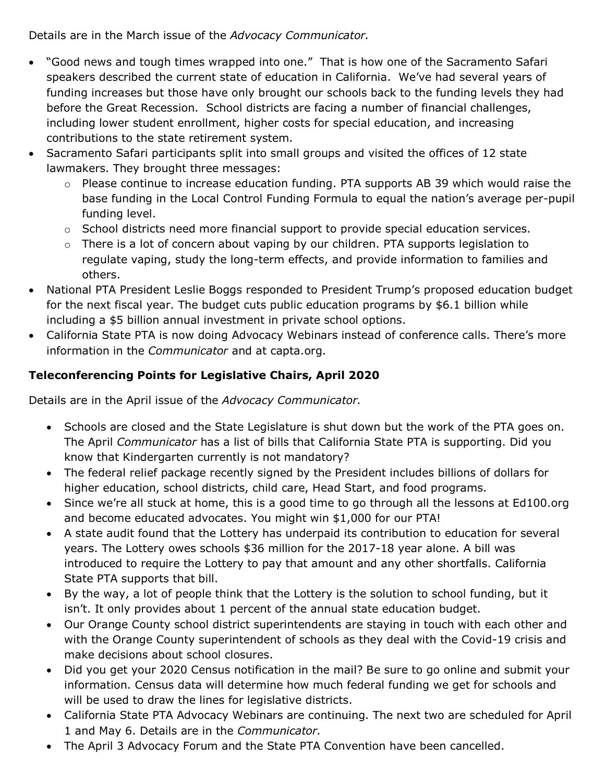Details are in the March issue of the *Advocacy Communicator.*

- "Good news and tough times wrapped into one." That is how one of the Sacramento Safari speakers described the current state of education in California. We've had several years of funding increases but those have only brought our schools back to the funding levels they had before the Great Recession. School districts are facing a number of financial challenges, including lower student enrollment, higher costs for special education, and increasing contributions to the state retirement system.
- Sacramento Safari participants split into small groups and visited the offices of 12 state lawmakers. They brought three messages:
	- o Please continue to increase education funding. PTA supports AB 39 which would raise the base funding in the Local Control Funding Formula to equal the nation's average per-pupil funding level.
	- $\circ$  School districts need more financial support to provide special education services.
	- $\circ$  There is a lot of concern about vaping by our children. PTA supports legislation to regulate vaping, study the long-term effects, and provide information to families and others.
- National PTA President Leslie Boggs responded to President Trump's proposed education budget for the next fiscal year. The budget cuts public education programs by \$6.1 billion while including a \$5 billion annual investment in private school options.
- California State PTA is now doing Advocacy Webinars instead of conference calls. There's more information in the *Communicator* and at capta.org.

# **Teleconferencing Points for Legislative Chairs, April 2020**

Details are in the April issue of the *Advocacy Communicator.*

- Schools are closed and the State Legislature is shut down but the work of the PTA goes on. The April *Communicator* has a list of bills that California State PTA is supporting. Did you know that Kindergarten currently is not mandatory?
- The federal relief package recently signed by the President includes billions of dollars for higher education, school districts, child care, Head Start, and food programs.
- Since we're all stuck at home, this is a good time to go through all the lessons at Ed100.org and become educated advocates. You might win \$1,000 for our PTA!
- A state audit found that the Lottery has underpaid its contribution to education for several years. The Lottery owes schools \$36 million for the 2017-18 year alone. A bill was introduced to require the Lottery to pay that amount and any other shortfalls. California State PTA supports that bill.
- By the way, a lot of people think that the Lottery is the solution to school funding, but it isn't. It only provides about 1 percent of the annual state education budget.
- Our Orange County school district superintendents are staying in touch with each other and with the Orange County superintendent of schools as they deal with the Covid-19 crisis and make decisions about school closures.
- Did you get your 2020 Census notification in the mail? Be sure to go online and submit your information. Census data will determine how much federal funding we get for schools and will be used to draw the lines for legislative districts.
- California State PTA Advocacy Webinars are continuing. The next two are scheduled for April 1 and May 6. Details are in the *Communicator.*
- The April 3 Advocacy Forum and the State PTA Convention have been cancelled.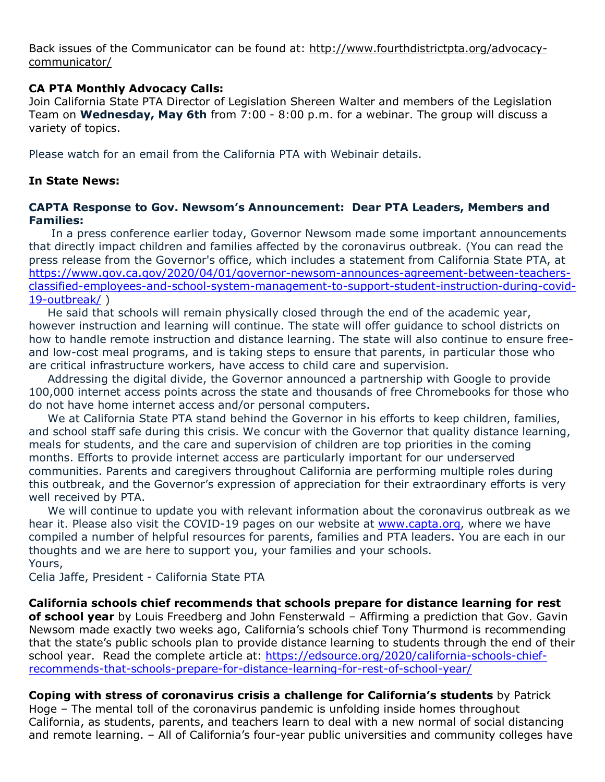Back issues of the Communicator can be found at: http://www.fourthdistrictpta.org/advocacycommunicator/

### **CA PTA Monthly Advocacy Calls:**

Join California State PTA Director of Legislation Shereen Walter and members of the Legislation Team on **Wednesday, May 6th** from 7:00 - 8:00 p.m. for a webinar. The group will discuss a variety of topics.

Please watch for an email from the California PTA with Webinair details.

### **In State News:**

### **CAPTA Response to Gov. Newsom's Announcement: Dear PTA Leaders, Members and Families:**

 In a press conference earlier today, Governor Newsom made some important announcements that directly impact children and families affected by the coronavirus outbreak. (You can read the press release from the Governor's office, which includes a statement from California State PTA, at https://www.gov.ca.gov/2020/04/01/governor-newsom-announces-agreement-between-teachersclassified-employees-and-school-system-management-to-support-student-instruction-during-covid-19-outbreak/ )

 He said that schools will remain physically closed through the end of the academic year, however instruction and learning will continue. The state will offer guidance to school districts on how to handle remote instruction and distance learning. The state will also continue to ensure freeand low-cost meal programs, and is taking steps to ensure that parents, in particular those who are critical infrastructure workers, have access to child care and supervision.

 Addressing the digital divide, the Governor announced a partnership with Google to provide 100,000 internet access points across the state and thousands of free Chromebooks for those who do not have home internet access and/or personal computers.

 We at California State PTA stand behind the Governor in his efforts to keep children, families, and school staff safe during this crisis. We concur with the Governor that quality distance learning, meals for students, and the care and supervision of children are top priorities in the coming months. Efforts to provide internet access are particularly important for our underserved communities. Parents and caregivers throughout California are performing multiple roles during this outbreak, and the Governor's expression of appreciation for their extraordinary efforts is very well received by PTA.

 We will continue to update you with relevant information about the coronavirus outbreak as we hear it. Please also visit the COVID-19 pages on our website at www.capta.org, where we have compiled a number of helpful resources for parents, families and PTA leaders. You are each in our thoughts and we are here to support you, your families and your schools. Yours,

Celia Jaffe, President - California State PTA

**California schools chief recommends that schools prepare for distance learning for rest of school year** by Louis Freedberg and John Fensterwald – Affirming a prediction that Gov. Gavin Newsom made exactly two weeks ago, California's schools chief Tony Thurmond is recommending that the state's public schools plan to provide distance learning to students through the end of their school year. Read the complete article at: https://edsource.org/2020/california-schools-chiefrecommends-that-schools-prepare-for-distance-learning-for-rest-of-school-year/

**Coping with stress of coronavirus crisis a challenge for California's students** by Patrick Hoge – The mental toll of the coronavirus pandemic is unfolding inside homes throughout California, as students, parents, and teachers learn to deal with a new normal of social distancing and remote learning. – All of California's four-year public universities and community colleges have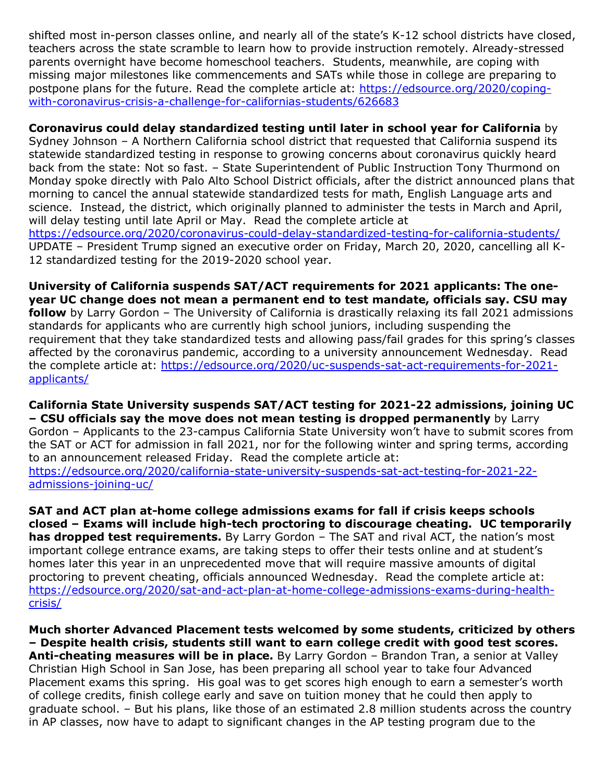shifted most in-person classes online, and nearly all of the state's K-12 school districts have closed, teachers across the state scramble to learn how to provide instruction remotely. Already-stressed parents overnight have become homeschool teachers. Students, meanwhile, are coping with missing major milestones like commencements and SATs while those in college are preparing to postpone plans for the future. Read the complete article at: https://edsource.org/2020/copingwith-coronavirus-crisis-a-challenge-for-californias-students/626683

**Coronavirus could delay standardized testing until later in school year for California** by Sydney Johnson – A Northern California school district that requested that California suspend its statewide standardized testing in response to growing concerns about coronavirus quickly heard back from the state: Not so fast. – State Superintendent of Public Instruction Tony Thurmond on Monday spoke directly with Palo Alto School District officials, after the district announced plans that morning to cancel the annual statewide standardized tests for math, English Language arts and science. Instead, the district, which originally planned to administer the tests in March and April, will delay testing until late April or May. Read the complete article at https://edsource.org/2020/coronavirus-could-delay-standardized-testing-for-california-students/ UPDATE – President Trump signed an executive order on Friday, March 20, 2020, cancelling all K-12 standardized testing for the 2019-2020 school year.

**University of California suspends SAT/ACT requirements for 2021 applicants: The oneyear UC change does not mean a permanent end to test mandate, officials say. CSU may follow** by Larry Gordon – The University of California is drastically relaxing its fall 2021 admissions standards for applicants who are currently high school juniors, including suspending the requirement that they take standardized tests and allowing pass/fail grades for this spring's classes affected by the coronavirus pandemic, according to a university announcement Wednesday. Read the complete article at: https://edsource.org/2020/uc-suspends-sat-act-requirements-for-2021 applicants/

**California State University suspends SAT/ACT testing for 2021-22 admissions, joining UC – CSU officials say the move does not mean testing is dropped permanently** by Larry Gordon – Applicants to the 23-campus California State University won't have to submit scores from the SAT or ACT for admission in fall 2021, nor for the following winter and spring terms, according to an announcement released Friday. Read the complete article at: https://edsource.org/2020/california-state-university-suspends-sat-act-testing-for-2021-22 admissions-joining-uc/

**SAT and ACT plan at-home college admissions exams for fall if crisis keeps schools closed – Exams will include high-tech proctoring to discourage cheating. UC temporarily has dropped test requirements.** By Larry Gordon – The SAT and rival ACT, the nation's most important college entrance exams, are taking steps to offer their tests online and at student's homes later this year in an unprecedented move that will require massive amounts of digital proctoring to prevent cheating, officials announced Wednesday. Read the complete article at: https://edsource.org/2020/sat-and-act-plan-at-home-college-admissions-exams-during-healthcrisis/

**Much shorter Advanced Placement tests welcomed by some students, criticized by others – Despite health crisis, students still want to earn college credit with good test scores. Anti-cheating measures will be in place.** By Larry Gordon – Brandon Tran, a senior at Valley Christian High School in San Jose, has been preparing all school year to take four Advanced Placement exams this spring. His goal was to get scores high enough to earn a semester's worth of college credits, finish college early and save on tuition money that he could then apply to graduate school. – But his plans, like those of an estimated 2.8 million students across the country in AP classes, now have to adapt to significant changes in the AP testing program due to the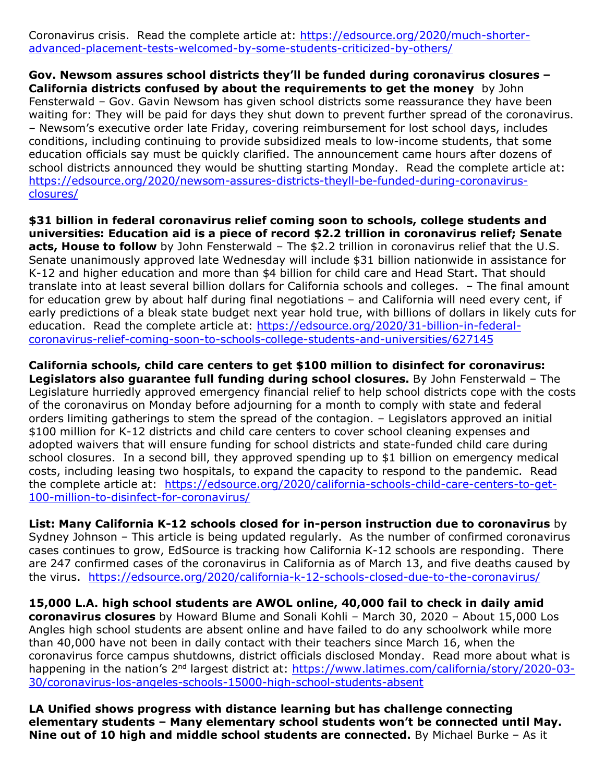Coronavirus crisis. Read the complete article at: https://edsource.org/2020/much-shorteradvanced-placement-tests-welcomed-by-some-students-criticized-by-others/

**Gov. Newsom assures school districts they'll be funded during coronavirus closures – California districts confused by about the requirements to get the money** by John Fensterwald – Gov. Gavin Newsom has given school districts some reassurance they have been waiting for: They will be paid for days they shut down to prevent further spread of the coronavirus. – Newsom's executive order late Friday, covering reimbursement for lost school days, includes conditions, including continuing to provide subsidized meals to low-income students, that some education officials say must be quickly clarified. The announcement came hours after dozens of school districts announced they would be shutting starting Monday. Read the complete article at: https://edsource.org/2020/newsom-assures-districts-theyll-be-funded-during-coronavirusclosures/

**\$31 billion in federal coronavirus relief coming soon to schools, college students and universities: Education aid is a piece of record \$2.2 trillion in coronavirus relief; Senate acts, House to follow** by John Fensterwald – The \$2.2 trillion in coronavirus relief that the U.S. Senate unanimously approved late Wednesday will include \$31 billion nationwide in assistance for K-12 and higher education and more than \$4 billion for child care and Head Start. That should translate into at least several billion dollars for California schools and colleges. – The final amount for education grew by about half during final negotiations – and California will need every cent, if early predictions of a bleak state budget next year hold true, with billions of dollars in likely cuts for education. Read the complete article at: https://edsource.org/2020/31-billion-in-federalcoronavirus-relief-coming-soon-to-schools-college-students-and-universities/627145

**California schools, child care centers to get \$100 million to disinfect for coronavirus: Legislators also guarantee full funding during school closures.** By John Fensterwald – The Legislature hurriedly approved emergency financial relief to help school districts cope with the costs of the coronavirus on Monday before adjourning for a month to comply with state and federal orders limiting gatherings to stem the spread of the contagion. – Legislators approved an initial \$100 million for K-12 districts and child care centers to cover school cleaning expenses and adopted waivers that will ensure funding for school districts and state-funded child care during school closures. In a second bill, they approved spending up to \$1 billion on emergency medical costs, including leasing two hospitals, to expand the capacity to respond to the pandemic. Read the complete article at: https://edsource.org/2020/california-schools-child-care-centers-to-get-100-million-to-disinfect-for-coronavirus/

**List: Many California K-12 schools closed for in-person instruction due to coronavirus** by Sydney Johnson – This article is being updated regularly. As the number of confirmed coronavirus cases continues to grow, EdSource is tracking how California K-12 schools are responding. There are 247 confirmed cases of the coronavirus in California as of March 13, and five deaths caused by the virus. https://edsource.org/2020/california-k-12-schools-closed-due-to-the-coronavirus/

**15,000 L.A. high school students are AWOL online, 40,000 fail to check in daily amid coronavirus closures** by Howard Blume and Sonali Kohli – March 30, 2020 – About 15,000 Los Angles high school students are absent online and have failed to do any schoolwork while more than 40,000 have not been in daily contact with their teachers since March 16, when the coronavirus force campus shutdowns, district officials disclosed Monday. Read more about what is happening in the nation's 2<sup>nd</sup> largest district at: https://www.latimes.com/california/story/2020-03-30/coronavirus-los-angeles-schools-15000-high-school-students-absent

**LA Unified shows progress with distance learning but has challenge connecting elementary students – Many elementary school students won't be connected until May. Nine out of 10 high and middle school students are connected.** By Michael Burke – As it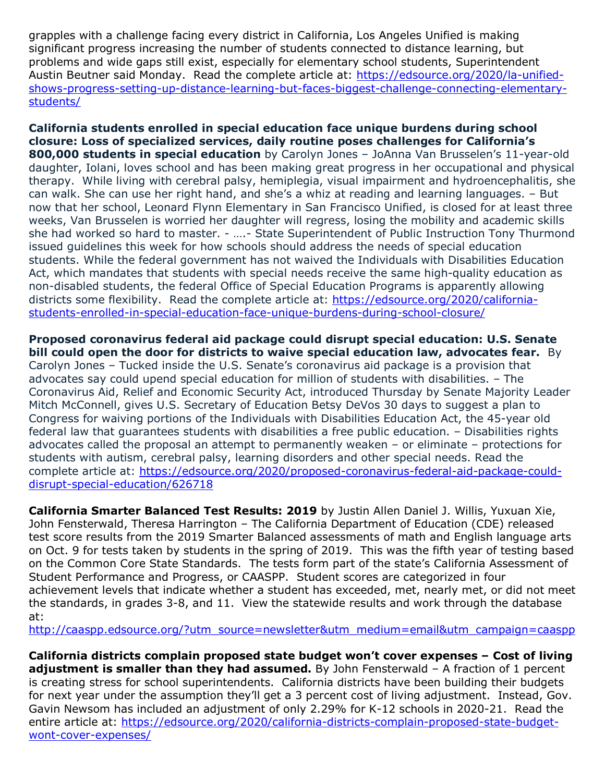grapples with a challenge facing every district in California, Los Angeles Unified is making significant progress increasing the number of students connected to distance learning, but problems and wide gaps still exist, especially for elementary school students, Superintendent Austin Beutner said Monday. Read the complete article at: https://edsource.org/2020/la-unifiedshows-progress-setting-up-distance-learning-but-faces-biggest-challenge-connecting-elementarystudents/

**California students enrolled in special education face unique burdens during school closure: Loss of specialized services, daily routine poses challenges for California's 800,000 students in special education** by Carolyn Jones – JoAnna Van Brusselen's 11-year-old daughter, Iolani, loves school and has been making great progress in her occupational and physical therapy. While living with cerebral palsy, hemiplegia, visual impairment and hydroencephalitis, she can walk. She can use her right hand, and she's a whiz at reading and learning languages. – But now that her school, Leonard Flynn Elementary in San Francisco Unified, is closed for at least three weeks, Van Brusselen is worried her daughter will regress, losing the mobility and academic skills she had worked so hard to master. - ….- State Superintendent of Public Instruction Tony Thurmond issued guidelines this week for how schools should address the needs of special education students. While the federal government has not waived the Individuals with Disabilities Education Act, which mandates that students with special needs receive the same high-quality education as non-disabled students, the federal Office of Special Education Programs is apparently allowing districts some flexibility. Read the complete article at: https://edsource.org/2020/californiastudents-enrolled-in-special-education-face-unique-burdens-during-school-closure/

**Proposed coronavirus federal aid package could disrupt special education: U.S. Senate bill could open the door for districts to waive special education law, advocates fear.** By Carolyn Jones – Tucked inside the U.S. Senate's coronavirus aid package is a provision that advocates say could upend special education for million of students with disabilities. – The Coronavirus Aid, Relief and Economic Security Act, introduced Thursday by Senate Majority Leader Mitch McConnell, gives U.S. Secretary of Education Betsy DeVos 30 days to suggest a plan to Congress for waiving portions of the Individuals with Disabilities Education Act, the 45-year old federal law that guarantees students with disabilities a free public education. – Disabilities rights advocates called the proposal an attempt to permanently weaken – or eliminate – protections for students with autism, cerebral palsy, learning disorders and other special needs. Read the complete article at: https://edsource.org/2020/proposed-coronavirus-federal-aid-package-coulddisrupt-special-education/626718

**California Smarter Balanced Test Results: 2019** by Justin Allen Daniel J. Willis, Yuxuan Xie, John Fensterwald, Theresa Harrington – The California Department of Education (CDE) released test score results from the 2019 Smarter Balanced assessments of math and English language arts on Oct. 9 for tests taken by students in the spring of 2019. This was the fifth year of testing based on the Common Core State Standards. The tests form part of the state's California Assessment of Student Performance and Progress, or CAASPP. Student scores are categorized in four achievement levels that indicate whether a student has exceeded, met, nearly met, or did not meet the standards, in grades 3-8, and 11. View the statewide results and work through the database at:

http://caaspp.edsource.org/?utm\_source=newsletter&utm\_medium=email&utm\_campaign=caaspp

**California districts complain proposed state budget won't cover expenses – Cost of living adjustment is smaller than they had assumed.** By John Fensterwald – A fraction of 1 percent is creating stress for school superintendents. California districts have been building their budgets for next year under the assumption they'll get a 3 percent cost of living adjustment. Instead, Gov. Gavin Newsom has included an adjustment of only 2.29% for K-12 schools in 2020-21. Read the entire article at: https://edsource.org/2020/california-districts-complain-proposed-state-budgetwont-cover-expenses/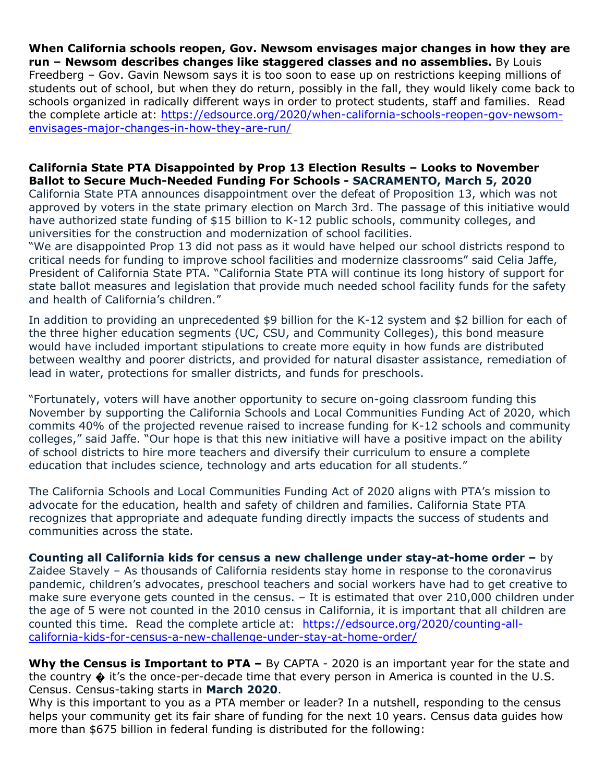**When California schools reopen, Gov. Newsom envisages major changes in how they are run – Newsom describes changes like staggered classes and no assemblies.** By Louis Freedberg – Gov. Gavin Newsom says it is too soon to ease up on restrictions keeping millions of students out of school, but when they do return, possibly in the fall, they would likely come back to schools organized in radically different ways in order to protect students, staff and families. Read the complete article at: https://edsource.org/2020/when-california-schools-reopen-gov-newsomenvisages-major-changes-in-how-they-are-run/

#### **California State PTA Disappointed by Prop 13 Election Results – Looks to November Ballot to Secure Much-Needed Funding For Schools - SACRAMENTO, March 5, 2020**

California State PTA announces disappointment over the defeat of Proposition 13, which was not approved by voters in the state primary election on March 3rd. The passage of this initiative would have authorized state funding of \$15 billion to K-12 public schools, community colleges, and universities for the construction and modernization of school facilities.

"We are disappointed Prop 13 did not pass as it would have helped our school districts respond to critical needs for funding to improve school facilities and modernize classrooms" said Celia Jaffe, President of California State PTA. "California State PTA will continue its long history of support for state ballot measures and legislation that provide much needed school facility funds for the safety and health of California's children."

In addition to providing an unprecedented \$9 billion for the K-12 system and \$2 billion for each of the three higher education segments (UC, CSU, and Community Colleges), this bond measure would have included important stipulations to create more equity in how funds are distributed between wealthy and poorer districts, and provided for natural disaster assistance, remediation of lead in water, protections for smaller districts, and funds for preschools.

"Fortunately, voters will have another opportunity to secure on-going classroom funding this November by supporting the California Schools and Local Communities Funding Act of 2020, which commits 40% of the projected revenue raised to increase funding for K-12 schools and community colleges," said Jaffe. "Our hope is that this new initiative will have a positive impact on the ability of school districts to hire more teachers and diversify their curriculum to ensure a complete education that includes science, technology and arts education for all students."

The California Schools and Local Communities Funding Act of 2020 aligns with PTA's mission to advocate for the education, health and safety of children and families. California State PTA recognizes that appropriate and adequate funding directly impacts the success of students and communities across the state.

**Counting all California kids for census a new challenge under stay-at-home order –** by Zaidee Stavely – As thousands of California residents stay home in response to the coronavirus pandemic, children's advocates, preschool teachers and social workers have had to get creative to make sure everyone gets counted in the census. – It is estimated that over 210,000 children under the age of 5 were not counted in the 2010 census in California, it is important that all children are counted this time. Read the complete article at: https://edsource.org/2020/counting-allcalifornia-kids-for-census-a-new-challenge-under-stay-at-home-order/

Why the Census is Important to PTA – By CAPTA - 2020 is an important year for the state and the country  $\clubsuit$  it's the once-per-decade time that every person in America is counted in the U.S. Census. Census-taking starts in **March 2020**.

Why is this important to you as a PTA member or leader? In a nutshell, responding to the census helps your community get its fair share of funding for the next 10 years. Census data guides how more than \$675 billion in federal funding is distributed for the following: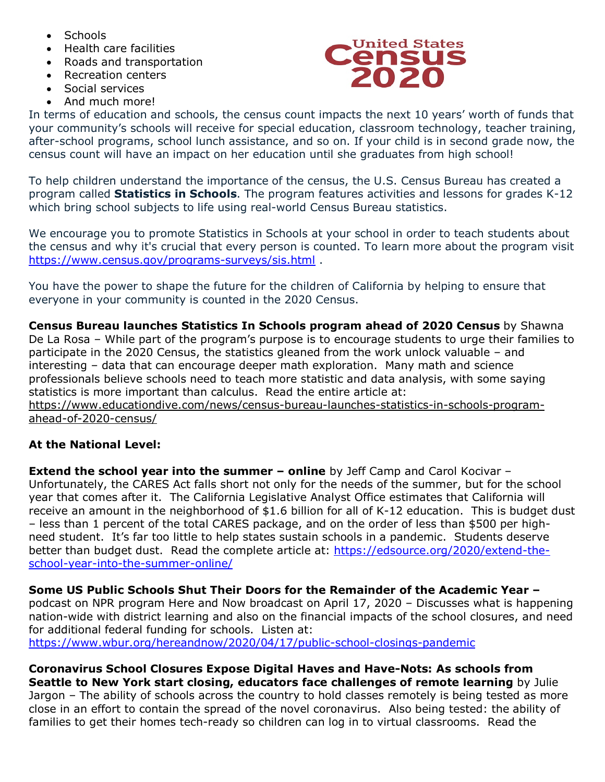- Schools
- Health care facilities
- Roads and transportation
- Recreation centers
- Social services
- And much more!



In terms of education and schools, the census count impacts the next 10 years' worth of funds that your community's schools will receive for special education, classroom technology, teacher training, after-school programs, school lunch assistance, and so on. If your child is in second grade now, the census count will have an impact on her education until she graduates from high school!

To help children understand the importance of the census, the U.S. Census Bureau has created a program called **Statistics in Schools**. The program features activities and lessons for grades K-12 which bring school subjects to life using real-world Census Bureau statistics.

We encourage you to promote Statistics in Schools at your school in order to teach students about the census and why it's crucial that every person is counted. To learn more about the program visit https://www.census.gov/programs-surveys/sis.html .

You have the power to shape the future for the children of California by helping to ensure that everyone in your community is counted in the 2020 Census.

**Census Bureau launches Statistics In Schools program ahead of 2020 Census** by Shawna De La Rosa – While part of the program's purpose is to encourage students to urge their families to participate in the 2020 Census, the statistics gleaned from the work unlock valuable – and interesting – data that can encourage deeper math exploration. Many math and science professionals believe schools need to teach more statistic and data analysis, with some saying statistics is more important than calculus. Read the entire article at: https://www.educationdive.com/news/census-bureau-launches-statistics-in-schools-programahead-of-2020-census/

# **At the National Level:**

**Extend the school year into the summer – online** by Jeff Camp and Carol Kocivar – Unfortunately, the CARES Act falls short not only for the needs of the summer, but for the school year that comes after it. The California Legislative Analyst Office estimates that California will receive an amount in the neighborhood of \$1.6 billion for all of K-12 education. This is budget dust – less than 1 percent of the total CARES package, and on the order of less than \$500 per highneed student. It's far too little to help states sustain schools in a pandemic. Students deserve better than budget dust. Read the complete article at: https://edsource.org/2020/extend-theschool-year-into-the-summer-online/

**Some US Public Schools Shut Their Doors for the Remainder of the Academic Year –** podcast on NPR program Here and Now broadcast on April 17, 2020 – Discusses what is happening nation-wide with district learning and also on the financial impacts of the school closures, and need for additional federal funding for schools. Listen at: https://www.wbur.org/hereandnow/2020/04/17/public-school-closings-pandemic

**Coronavirus School Closures Expose Digital Haves and Have-Nots: As schools from Seattle to New York start closing, educators face challenges of remote learning** by Julie Jargon – The ability of schools across the country to hold classes remotely is being tested as more close in an effort to contain the spread of the novel coronavirus. Also being tested: the ability of families to get their homes tech-ready so children can log in to virtual classrooms. Read the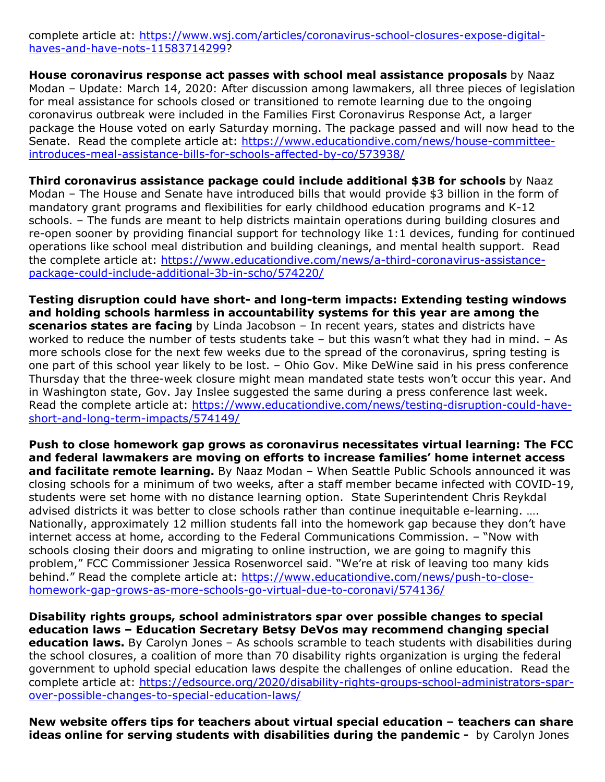complete article at: https://www.wsj.com/articles/coronavirus-school-closures-expose-digitalhaves-and-have-nots-11583714299?

**House coronavirus response act passes with school meal assistance proposals** by Naaz Modan – Update: March 14, 2020: After discussion among lawmakers, all three pieces of legislation for meal assistance for schools closed or transitioned to remote learning due to the ongoing coronavirus outbreak were included in the Families First Coronavirus Response Act, a larger package the House voted on early Saturday morning. The package passed and will now head to the Senate. Read the complete article at: https://www.educationdive.com/news/house-committeeintroduces-meal-assistance-bills-for-schools-affected-by-co/573938/

**Third coronavirus assistance package could include additional \$3B for schools** by Naaz Modan – The House and Senate have introduced bills that would provide \$3 billion in the form of mandatory grant programs and flexibilities for early childhood education programs and K-12 schools. – The funds are meant to help districts maintain operations during building closures and re-open sooner by providing financial support for technology like 1:1 devices, funding for continued operations like school meal distribution and building cleanings, and mental health support. Read the complete article at: https://www.educationdive.com/news/a-third-coronavirus-assistancepackage-could-include-additional-3b-in-scho/574220/

**Testing disruption could have short- and long-term impacts: Extending testing windows and holding schools harmless in accountability systems for this year are among the scenarios states are facing** by Linda Jacobson – In recent years, states and districts have worked to reduce the number of tests students take – but this wasn't what they had in mind. – As more schools close for the next few weeks due to the spread of the coronavirus, spring testing is one part of this school year likely to be lost. – Ohio Gov. Mike DeWine said in his press conference Thursday that the three-week closure might mean mandated state tests won't occur this year. And in Washington state, Gov. Jay Inslee suggested the same during a press conference last week. Read the complete article at: https://www.educationdive.com/news/testing-disruption-could-haveshort-and-long-term-impacts/574149/

**Push to close homework gap grows as coronavirus necessitates virtual learning: The FCC and federal lawmakers are moving on efforts to increase families' home internet access and facilitate remote learning.** By Naaz Modan – When Seattle Public Schools announced it was closing schools for a minimum of two weeks, after a staff member became infected with COVID-19, students were set home with no distance learning option. State Superintendent Chris Reykdal advised districts it was better to close schools rather than continue inequitable e-learning. .... Nationally, approximately 12 million students fall into the homework gap because they don't have internet access at home, according to the Federal Communications Commission. – "Now with schools closing their doors and migrating to online instruction, we are going to magnify this problem," FCC Commissioner Jessica Rosenworcel said. "We're at risk of leaving too many kids behind." Read the complete article at: https://www.educationdive.com/news/push-to-closehomework-gap-grows-as-more-schools-go-virtual-due-to-coronavi/574136/

**Disability rights groups, school administrators spar over possible changes to special education laws – Education Secretary Betsy DeVos may recommend changing special education laws.** By Carolyn Jones – As schools scramble to teach students with disabilities during the school closures, a coalition of more than 70 disability rights organization is urging the federal government to uphold special education laws despite the challenges of online education. Read the complete article at: https://edsource.org/2020/disability-rights-groups-school-administrators-sparover-possible-changes-to-special-education-laws/

**New website offers tips for teachers about virtual special education – teachers can share ideas online for serving students with disabilities during the pandemic -** by Carolyn Jones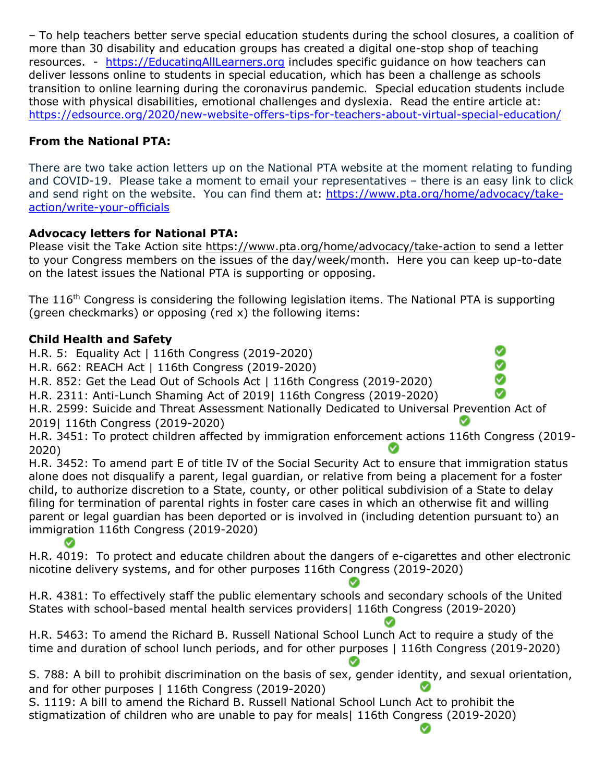– To help teachers better serve special education students during the school closures, a coalition of more than 30 disability and education groups has created a digital one-stop shop of teaching resources. - https://EducatingAllLearners.org includes specific guidance on how teachers can deliver lessons online to students in special education, which has been a challenge as schools transition to online learning during the coronavirus pandemic. Special education students include those with physical disabilities, emotional challenges and dyslexia. Read the entire article at: https://edsource.org/2020/new-website-offers-tips-for-teachers-about-virtual-special-education/

# **From the National PTA:**

There are two take action letters up on the National PTA website at the moment relating to funding and COVID-19. Please take a moment to email your representatives – there is an easy link to click and send right on the website. You can find them at: https://www.pta.org/home/advocacy/takeaction/write-your-officials

# **Advocacy letters for National PTA:**

Please visit the Take Action site https://www.pta.org/home/advocacy/take-action to send a letter to your Congress members on the issues of the day/week/month. Here you can keep up-to-date on the latest issues the National PTA is supporting or opposing.

The 116<sup>th</sup> Congress is considering the following legislation items. The National PTA is supporting (green checkmarks) or opposing (red x) the following items:

# **Child Health and Safety**

H.R. 5: Equality Act | 116th Congress (2019-2020)

H.R. 662: REACH Act | 116th Congress (2019-2020)

H.R. 852: Get the Lead Out of Schools Act | 116th Congress (2019-2020)

H.R. 2311: Anti-Lunch Shaming Act of 2019| 116th Congress (2019-2020)

H.R. 2599: Suicide and Threat Assessment Nationally Dedicated to Universal Prevention Act of 2019| 116th Congress (2019-2020)

H.R. 3451: To protect children affected by immigration enforcement actions 116th Congress (2019- 2020)

H.R. 3452: To amend part E of title IV of the Social Security Act to ensure that immigration status alone does not disqualify a parent, legal guardian, or relative from being a placement for a foster child, to authorize discretion to a State, county, or other political subdivision of a State to delay filing for termination of parental rights in foster care cases in which an otherwise fit and willing parent or legal guardian has been deported or is involved in (including detention pursuant to) an immigration 116th Congress (2019-2020) Ø

H.R. 4019: To protect and educate children about the dangers of e-cigarettes and other electronic nicotine delivery systems, and for other purposes 116th Congress (2019-2020)

H.R. 4381: To effectively staff the public elementary schools and secondary schools of the United States with school-based mental health services providers| 116th Congress (2019-2020)

H.R. 5463: To amend the Richard B. Russell National School Lunch Act to require a study of the time and duration of school lunch periods, and for other purposes | 116th Congress (2019-2020)

S. 788: A bill to prohibit discrimination on the basis of sex, gender identity, and sexual orientation, and for other purposes | 116th Congress (2019-2020)

S. 1119: A bill to amend the Richard B. Russell National School Lunch Act to prohibit the stigmatization of children who are unable to pay for meals| 116th Congress (2019-2020)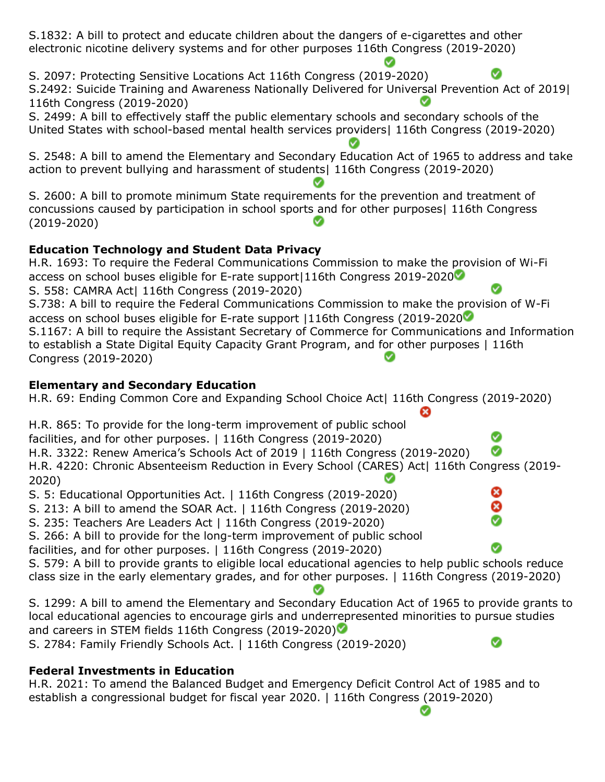S.1832: A bill to protect and educate children about the dangers of e-cigarettes and other electronic nicotine delivery systems and for other purposes 116th Congress (2019-2020)

S. 2097: Protecting Sensitive Locations Act 116th Congress (2019-2020) Ø S.2492: Suicide Training and Awareness Nationally Delivered for Universal Prevention Act of 2019| 116th Congress (2019-2020)

S. 2499: A bill to effectively staff the public elementary schools and secondary schools of the United States with school-based mental health services providers| 116th Congress (2019-2020)

S. 2548: A bill to amend the Elementary and Secondary Education Act of 1965 to address and take action to prevent bullying and harassment of students| 116th Congress (2019-2020)

S. 2600: A bill to promote minimum State requirements for the prevention and treatment of concussions caused by participation in school sports and for other purposes| 116th Congress (2019-2020)

# **Education Technology and Student Data Privacy**

H.R. 1693: To require the Federal Communications Commission to make the provision of Wi-Fi access on school buses eligible for E-rate support|116th Congress 2019-2020 S. 558: CAMRA Act| 116th Congress (2019-2020) S.738: A bill to require the Federal Communications Commission to make the provision of W-Fi access on school buses eligible for E-rate support |116th Congress (2019-2020 S.1167: A bill to require the Assistant Secretary of Commerce for Communications and Information to establish a State Digital Equity Capacity Grant Program, and for other purposes | 116th Congress (2019-2020)

# **Elementary and Secondary Education**

H.R. 69: Ending Common Core and Expanding School Choice Act| 116th Congress (2019-2020)

H.R. 865: To provide for the long-term improvement of public school

facilities, and for other purposes. | 116th Congress (2019-2020)

H.R. 3322: Renew America's Schools Act of 2019 | 116th Congress (2019-2020) Ø

H.R. 4220: Chronic Absenteeism Reduction in Every School (CARES) Act| 116th Congress (2019- 2020)

Ø

S. 5: Educational Opportunities Act. | 116th Congress (2019-2020)

S. 213: A bill to amend the SOAR Act. | 116th Congress (2019-2020)

S. 235: Teachers Are Leaders Act | 116th Congress (2019-2020)

S. 266: A bill to provide for the long-term improvement of public school

facilities, and for other purposes. | 116th Congress (2019-2020)

S. 579: A bill to provide grants to eligible local educational agencies to help public schools reduce class size in the early elementary grades, and for other purposes. | 116th Congress (2019-2020)

S. 1299: A bill to amend the Elementary and Secondary Education Act of 1965 to provide grants to local educational agencies to encourage girls and underrepresented minorities to pursue studies and careers in STEM fields 116th Congress (2019-2020)

S. 2784: Family Friendly Schools Act. | 116th Congress (2019-2020)

# **Federal Investments in Education**

H.R. 2021: To amend the Balanced Budget and Emergency Deficit Control Act of 1985 and to establish a congressional budget for fiscal year 2020. | 116th Congress (2019-2020)